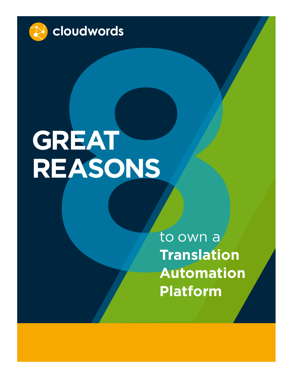

# cloudwords<br> **REAT**<br> **EASONS**<br>
to own a<br>
Translation<br>
Automation<br>
Platform **GREAT REASONS**

to own a **Translation Automation Platform**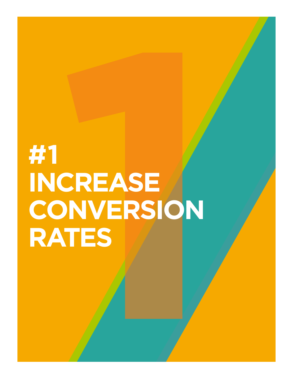## **CREASE #1 INCREASE CONVERSION RATES**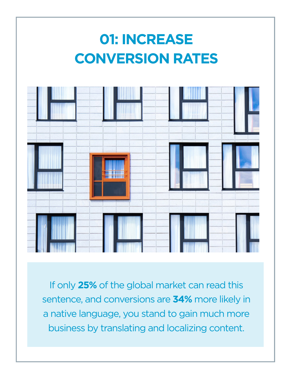

If only **25%** of the global market can read this sentence, and conversions are **34%** more likely in a native language, you stand to gain much more business by translating and localizing content.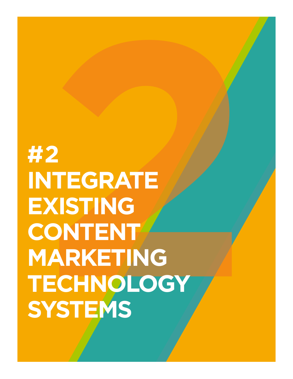**2<br>
2<br>
NTEGRATE<br>
XISTING<br>
ONTENT<br>
LARKETING<br>
ECHNOLOGY<br>
YSTEMS #2 INTEGRATE EXISTING CONTENT MARKETING TECHNOLOGY SYSTEMS**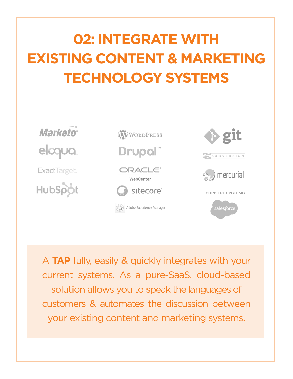### **02: INTEGRATE WITH EXISTING CONTENT & MARKETING TECHNOLOGY SYSTEMS**



A **TAP** fully, easily & quickly integrates with your current systems. As a pure-SaaS, cloud-based solution allows you to speak the languages of customers & automates the discussion between your existing content and marketing systems.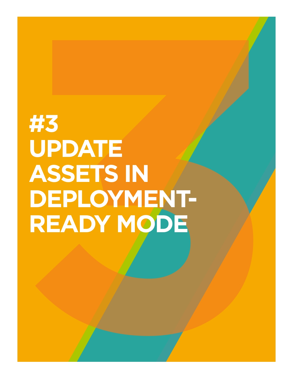### **#3**<br>
UPDATE<br>
ASSETS IN<br>
DEPLOYMENT-<br>
READY MODE **#3 UPDATE ASSETS IN DEPLOYMENT-READY MODE**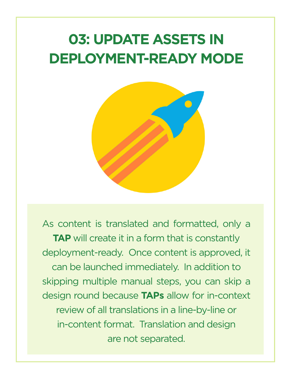### **03: UPDATE ASSETS IN DEPLOYMENT-READY MODE**



As content is translated and formatted, only a **TAP** will create it in a form that is constantly deployment-ready. Once content is approved, it can be launched immediately. In addition to skipping multiple manual steps, you can skip a design round because **TAPs** allow for in-context review of all translations in a line-by-line or in-content format. Translation and design are not separated.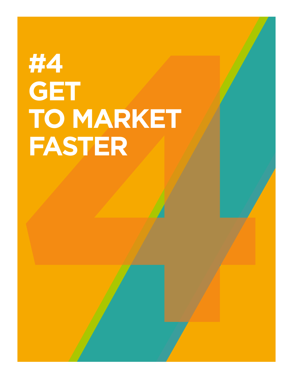## **HA<br>
GET<br>
TO MARKET<br>
FASTER #4 GET TO MARKET FASTER**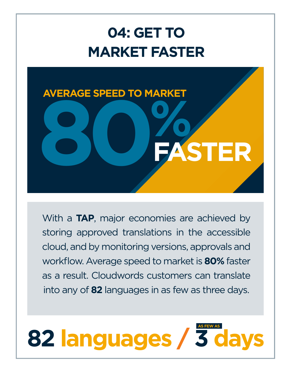### **04: GET TO MARKET FASTER**



With a **TAP**, major economies are achieved by storing approved translations in the accessible cloud, and by monitoring versions, approvals and workflow. Average speed to market is **80%** faster as a result. Cloudwords customers can translate into any of **82** languages in as few as three days.

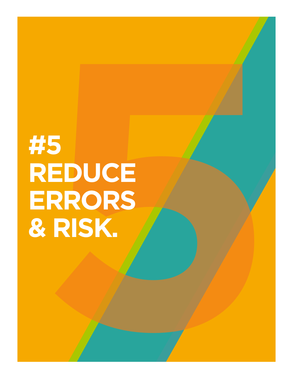## **5**<br>REDUCE<br>ERRORS<br>RISK. **#5 REDUCE ERRORS & RISK.**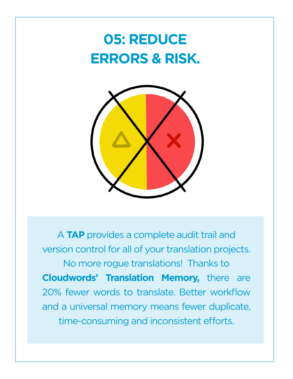### **05: REDUCE ERRORS & RISK.**



A **TAP** provides a complete audit trail and version control for all of your translation projects. No more rogue translations! Thanks to **Cloudwords' Translation Memory,** there are 20% fewer words to translate. Better workflow and a universal memory means fewer duplicate, time-consuming and inconsistent efforts.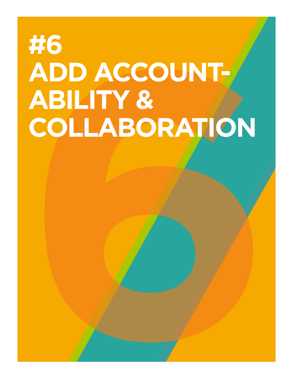## **#6<br>
ADD ACCOUNT-<br>
ABILITY &<br>
COLLABORATION #6 ADD ACCOUNT-ABILITY & COLLABORATION**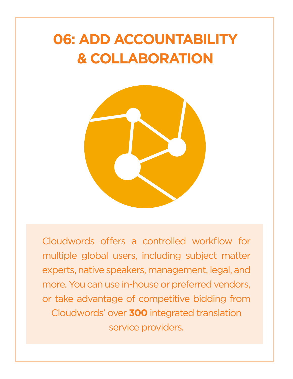### **06: ADD ACCOUNTABILITY & COLLABORATION**



Cloudwords offers a controlled workflow for multiple global users, including subject matter experts, native speakers, management, legal, and more. You can use in-house or preferred vendors, or take advantage of competitive bidding from Cloudwords' over **300** integrated translation service providers.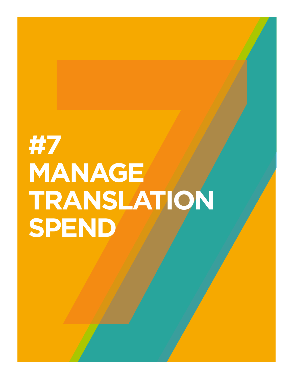## **#7<br>MANAGE MANAGE TRANSLATION #7 MANAGE TRANSLATION SPEND**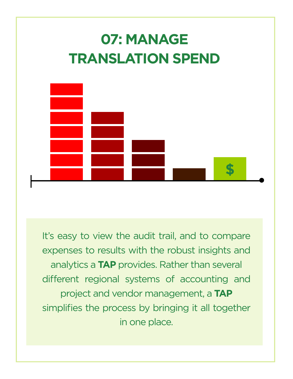

It's easy to view the audit trail, and to compare expenses to results with the robust insights and analytics a **TAP** provides. Rather than several different regional systems of accounting and project and vendor management, a **TAP**  simplifies the process by bringing it all together in one place.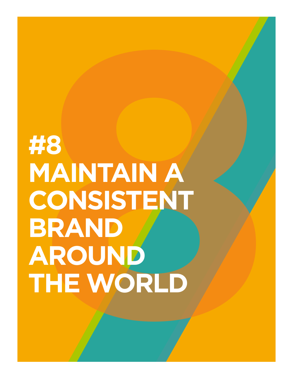### **<br>
BODAINTAIN A<br>
CONSISTENT<br>
BRAND<br>
AROUND<br>
THE WORLD #8 MAINTAIN A CONSISTENT BRAND AROUND THE WORLD**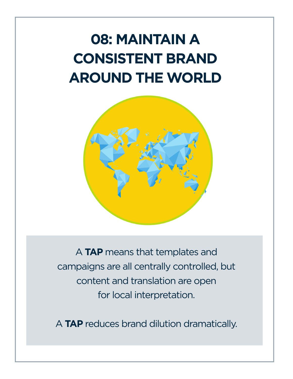### **08: MAINTAIN A CONSISTENT BRAND AROUND THE WORLD**



A **TAP** means that templates and campaigns are all centrally controlled, but content and translation are open for local interpretation.

A **TAP** reduces brand dilution dramatically.